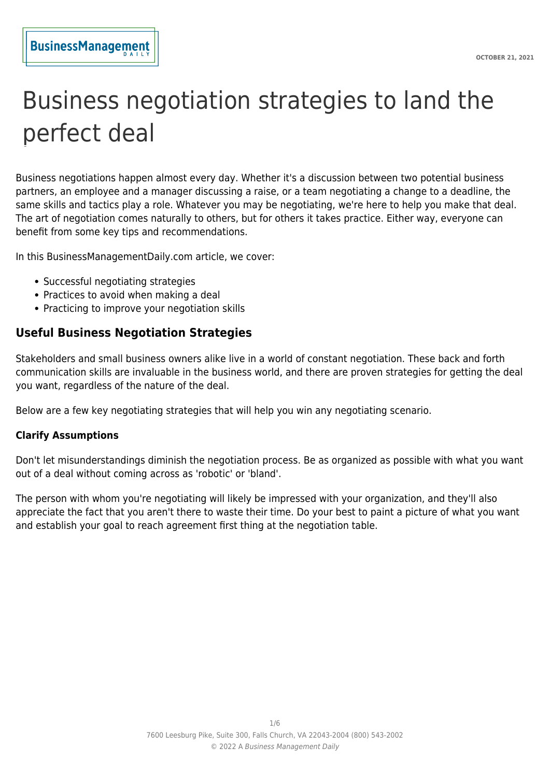# Business negotiation strategies to land the perfect deal

Business negotiations happen almost every day. Whether it's a discussion between two potential business partners, an employee and a manager discussing a raise, or a team negotiating a change to a deadline, the same skills and tactics play a role. Whatever you may be negotiating, we're here to help you make that deal. The art of negotiation comes naturally to others, but for others it takes practice. Either way, everyone can benefit from some key tips and recommendations.

In this BusinessManagementDaily.com article, we cover:

- Successful negotiating strategies
- Practices to avoid when making a deal
- Practicing to improve your negotiation skills

# **Useful Business Negotiation Strategies**

Stakeholders and small business owners alike live in a world of constant negotiation. These back and forth communication skills are invaluable in the business world, and there are proven strategies for getting the deal you want, regardless of the nature of the deal.

Below are a few key negotiating strategies that will help you win any negotiating scenario.

#### **Clarify Assumptions**

Don't let misunderstandings diminish the negotiation process. Be as organized as possible with what you want out of a deal without coming across as 'robotic' or 'bland'.

The person with whom you're negotiating will likely be impressed with your organization, and they'll also appreciate the fact that you aren't there to waste their time. Do your best to paint a picture of what you want and establish your goal to reach agreement first thing at the negotiation table.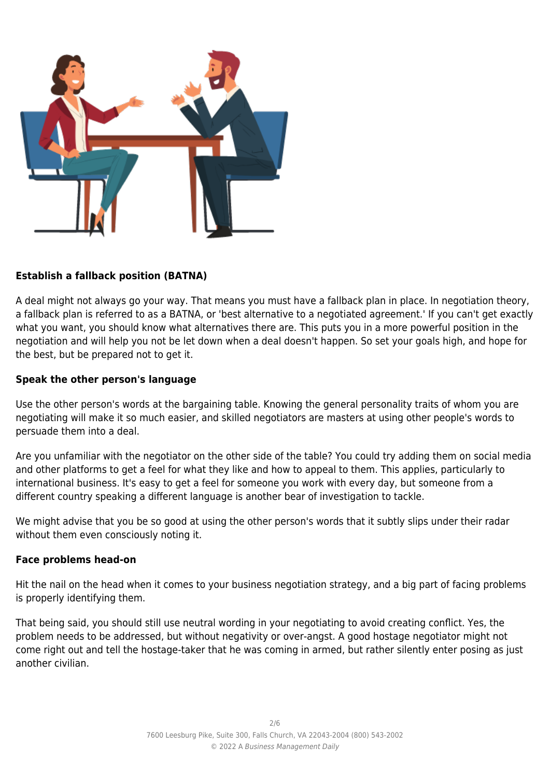

# **Establish a fallback position (BATNA)**

A deal might not always go your way. That means you must have a fallback plan in place. In negotiation theory, a fallback plan is referred to as a BATNA, or 'best alternative to a negotiated agreement.' If you can't get exactly what you want, you should know what alternatives there are. This puts you in a more powerful position in the negotiation and will help you not be let down when a deal doesn't happen. So set your goals high, and hope for the best, but be prepared not to get it.

## **Speak the other person's language**

Use the other person's words at the bargaining table. Knowing the general personality traits of whom you are negotiating will make it so much easier, and skilled negotiators are masters at using other people's words to persuade them into a deal.

Are you unfamiliar with the negotiator on the other side of the table? You could try adding them on social media and other platforms to get a feel for what they like and how to appeal to them. This applies, particularly to international business. It's easy to get a feel for someone you work with every day, but someone from a different country speaking a different language is another bear of investigation to tackle.

We might advise that you be so good at using the other person's words that it subtly slips under their radar without them even consciously noting it.

#### **Face problems head-on**

Hit the nail on the head when it comes to your business negotiation strategy, and a big part of facing problems is properly identifying them.

That being said, you should still use neutral wording in your negotiating to avoid creating conflict. Yes, the problem needs to be addressed, but without negativity or over-angst. A good hostage negotiator might not come right out and tell the hostage-taker that he was coming in armed, but rather silently enter posing as just another civilian.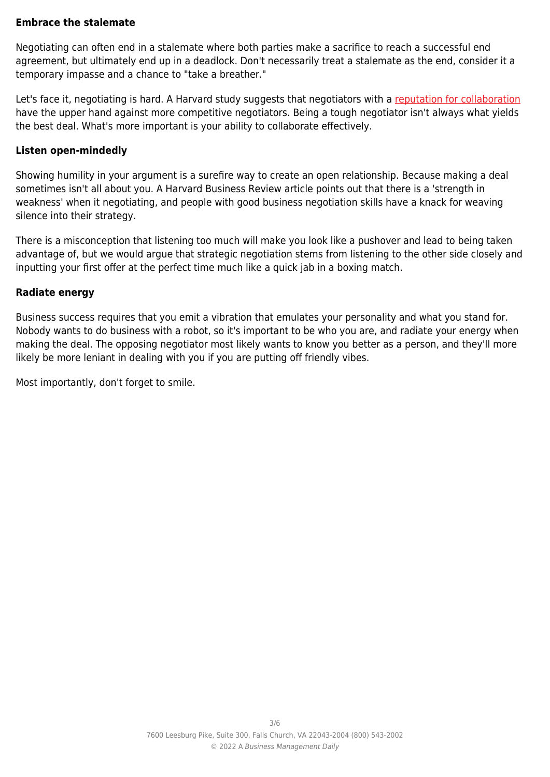## **Embrace the stalemate**

Negotiating can often end in a stalemate where both parties make a sacrifice to reach a successful end agreement, but ultimately end up in a deadlock. Don't necessarily treat a stalemate as the end, consider it a temporary impasse and a chance to "take a breather."

Let's face it, negotiating is hard. A Harvard study suggests that negotiators with a [reputation for collaboration](https://www.pon.harvard.edu/daily/business-negotiations/let-your-reputation-precede-you/) have the upper hand against more competitive negotiators. Being a tough negotiator isn't always what yields the best deal. What's more important is your ability to collaborate effectively.

#### **Listen open-mindedly**

Showing humility in your argument is a surefire way to create an open relationship. Because making a deal sometimes isn't all about you. A Harvard Business Review article points out that there is a 'strength in weakness' when it negotiating, and people with good business negotiation skills have a knack for weaving silence into their strategy.

There is a misconception that listening too much will make you look like a pushover and lead to being taken advantage of, but we would argue that strategic negotiation stems from listening to the other side closely and inputting your first offer at the perfect time much like a quick jab in a boxing match.

#### **Radiate energy**

Business success requires that you emit a vibration that emulates your personality and what you stand for. Nobody wants to do business with a robot, so it's important to be who you are, and radiate your energy when making the deal. The opposing negotiator most likely wants to know you better as a person, and they'll more likely be more leniant in dealing with you if you are putting off friendly vibes.

Most importantly, don't forget to smile.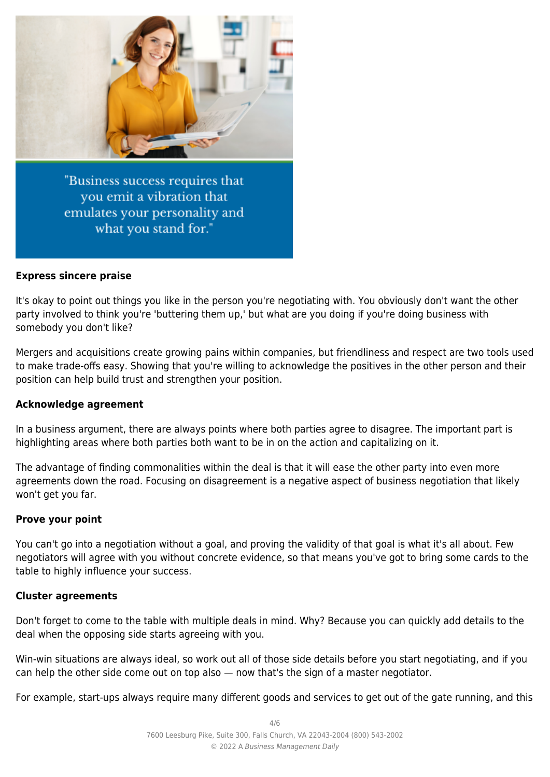

"Business success requires that you emit a vibration that emulates your personality and what you stand for."

#### **Express sincere praise**

It's okay to point out things you like in the person you're negotiating with. You obviously don't want the other party involved to think you're 'buttering them up,' but what are you doing if you're doing business with somebody you don't like?

Mergers and acquisitions create growing pains within companies, but friendliness and respect are two tools used to make trade-offs easy. Showing that you're willing to acknowledge the positives in the other person and their position can help build trust and strengthen your position.

#### **Acknowledge agreement**

In a business argument, there are always points where both parties agree to disagree. The important part is highlighting areas where both parties both want to be in on the action and capitalizing on it.

The advantage of finding commonalities within the deal is that it will ease the other party into even more agreements down the road. Focusing on disagreement is a negative aspect of business negotiation that likely won't get you far.

#### **Prove your point**

You can't go into a negotiation without a goal, and proving the validity of that goal is what it's all about. Few negotiators will agree with you without concrete evidence, so that means you've got to bring some cards to the table to highly influence your success.

#### **Cluster agreements**

Don't forget to come to the table with multiple deals in mind. Why? Because you can quickly add details to the deal when the opposing side starts agreeing with you.

Win-win situations are always ideal, so work out all of those side details before you start negotiating, and if you can help the other side come out on top also — now that's the sign of a master negotiator.

For example, start-ups always require many different goods and services to get out of the gate running, and this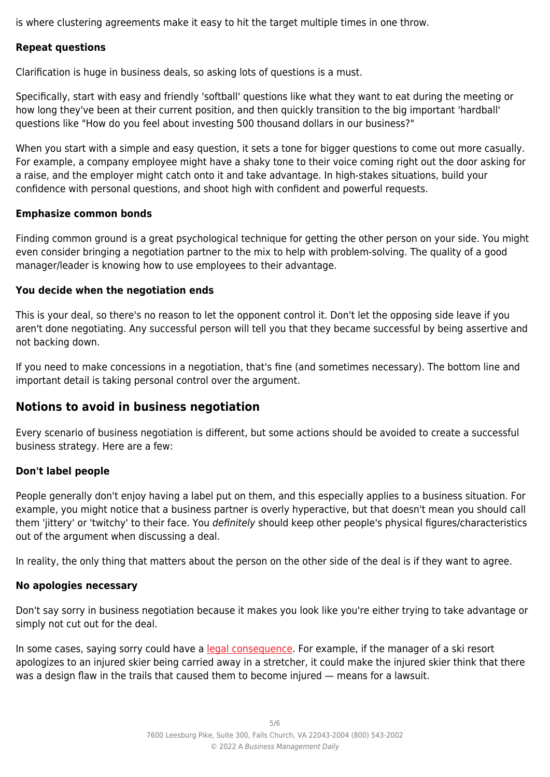is where clustering agreements make it easy to hit the target multiple times in one throw.

## **Repeat questions**

Clarification is huge in business deals, so asking lots of questions is a must.

Specifically, start with easy and friendly 'softball' questions like what they want to eat during the meeting or how long they've been at their current position, and then quickly transition to the big important 'hardball' questions like "How do you feel about investing 500 thousand dollars in our business?"

When you start with a simple and easy question, it sets a tone for bigger questions to come out more casually. For example, a company employee might have a shaky tone to their voice coming right out the door asking for a raise, and the employer might catch onto it and take advantage. In high-stakes situations, build your confidence with personal questions, and shoot high with confident and powerful requests.

#### **Emphasize common bonds**

Finding common ground is a great psychological technique for getting the other person on your side. You might even consider bringing a negotiation partner to the mix to help with problem-solving. The quality of a good manager/leader is knowing how to use employees to their advantage.

## **You decide when the negotiation ends**

This is your deal, so there's no reason to let the opponent control it. Don't let the opposing side leave if you aren't done negotiating. Any successful person will tell you that they became successful by being assertive and not backing down.

If you need to make concessions in a negotiation, that's fine (and sometimes necessary). The bottom line and important detail is taking personal control over the argument.

# **Notions to avoid in business negotiation**

Every scenario of business negotiation is different, but some actions should be avoided to create a successful business strategy. Here are a few:

#### **Don't label people**

People generally don't enjoy having a label put on them, and this especially applies to a business situation. For example, you might notice that a business partner is overly hyperactive, but that doesn't mean you should call them 'jittery' or 'twitchy' to their face. You definitely should keep other people's physical figures/characteristics out of the argument when discussing a deal.

In reality, the only thing that matters about the person on the other side of the deal is if they want to agree.

#### **No apologies necessary**

Don't say sorry in business negotiation because it makes you look like you're either trying to take advantage or simply not cut out for the deal.

In some cases, saying sorry could have a [legal consequence.](https://scholarship.law.missouri.edu/cgi/viewcontent.cgi?article=1313&context=jdr) For example, if the manager of a ski resort apologizes to an injured skier being carried away in a stretcher, it could make the injured skier think that there was a design flaw in the trails that caused them to become injured — means for a lawsuit.